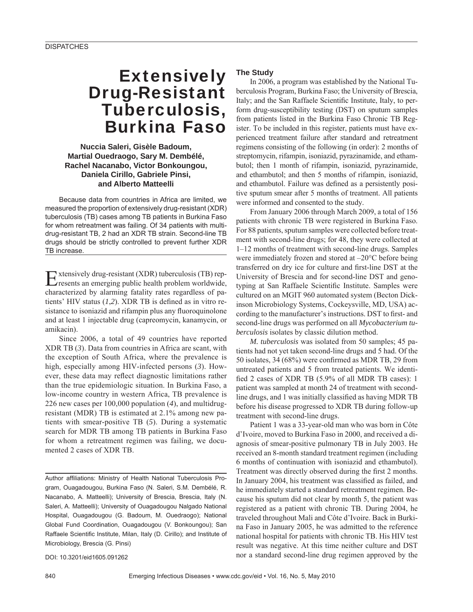# **Extensively** Drug-Resistant Tuberculosis, Burkina Faso

## **Nuccia Saleri, Gisèle Badoum, Martial Ouedraogo, Sary M. Dembélé, Rachel Nacanabo, Victor Bonkoungou, Daniela Cirillo, Gabriele Pinsi, and Alberto Matteelli**

Because data from countries in Africa are limited, we measured the proportion of extensively drug-resistant (XDR) tuberculosis (TB) cases among TB patients in Burkina Faso for whom retreatment was failing. Of 34 patients with multidrug-resistant TB, 2 had an XDR TB strain. Second-line TB drugs should be strictly controlled to prevent further XDR TB increase.

Extensively drug-resistant (XDR) tuberculosis (TB) rep-resents an emerging public health problem worldwide, characterized by alarming fatality rates regardless of patients' HIV status  $(1,2)$ . XDR TB is defined as in vitro resistance to isoniazid and rifampin plus any fluoroquinolone and at least 1 injectable drug (capreomycin, kanamycin, or amikacin).

Since 2006, a total of 49 countries have reported XDR TB (*3*). Data from countries in Africa are scant, with the exception of South Africa, where the prevalence is high, especially among HIV-infected persons (*3*). However, these data may reflect diagnostic limitations rather than the true epidemiologic situation. In Burkina Faso, a low-income country in western Africa, TB prevalence is 226 new cases per 100,000 population (*4*), and multidrugresistant (MDR) TB is estimated at 2.1% among new patients with smear-positive TB (*5*). During a systematic search for MDR TB among TB patients in Burkina Faso for whom a retreatment regimen was failing, we documented 2 cases of XDR TB.

Author affiliations: Ministry of Health National Tuberculosis Program, Ouagadougou, Burkina Faso (N. Saleri, S.M. Dembélé, R. Nacanabo, A. Matteelli); University of Brescia, Brescia, Italy (N. Saleri, A. Matteelli); University of Ouagadougou Nalgado National Hospital, Ouagadougou (G. Badoum, M. Ouedraogo); National Global Fund Coordination, Ouagadougou (V. Bonkoungou); San Raffaele Scientific Institute, Milan, Italy (D. Cirillo); and Institute of Microbiology, Brescia (G. Pinsi)

DOI: 10.3201/eid1605.091262

## **The Study**

In 2006, a program was established by the National Tuberculosis Program, Burkina Faso; the University of Brescia, Italy; and the San Raffaele Scientific Institute, Italy, to perform drug-susceptibility testing (DST) on sputum samples from patients listed in the Burkina Faso Chronic TB Register. To be included in this register, patients must have experienced treatment failure after standard and retreatment regimens consisting of the following (in order): 2 months of streptomycin, rifampin, isoniazid, pyrazinamide, and ethambutol; then 1 month of rifampin, isoniazid, pyrazinamide, and ethambutol; and then 5 months of rifampin, isoniazid, and ethambutol. Failure was defined as a persistently positive sputum smear after 5 months of treatment. All patients were informed and consented to the study.

From January 2006 through March 2009, a total of 156 patients with chronic TB were registered in Burkina Faso. For 88 patients, sputum samples were collected before treatment with second-line drugs; for 48, they were collected at 1–12 months of treatment with second-line drugs. Samples were immediately frozen and stored at –20°C before being transferred on dry ice for culture and first-line DST at the University of Brescia and for second-line DST and genotyping at San Raffaele Scientific Institute. Samples were cultured on an MGIT 960 automated system (Becton Dickinson Microbiology Systems, Cockeysville, MD, USA) according to the manufacturer's instructions. DST to first- and second-line drugs was performed on all *Mycobacterium tuberculosis* isolates by classic dilution method.

*M. tuberculosis* was isolated from 50 samples; 45 patients had not yet taken second-line drugs and 5 had. Of the 50 isolates, 34 (68%) were confirmed as MDR TB, 29 from untreated patients and 5 from treated patients. We identified 2 cases of XDR TB (5.9% of all MDR TB cases): 1 patient was sampled at month 24 of treatment with secondline drugs, and 1 was initially classified as having MDR TB before his disease progressed to XDR TB during follow-up treatment with second-line drugs.

Patient 1 was a 33-year-old man who was born in Côte d'Ivoire, moved to Burkina Faso in 2000, and received a diagnosis of smear-positive pulmonary TB in July 2003. He received an 8-month standard treatment regimen (including 6 months of continuation with isoniazid and ethambutol). Treatment was directly observed during the first 2 months. In January 2004, his treatment was classified as failed, and he immediately started a standard retreatment regimen. Because his sputum did not clear by month 5, the patient was registered as a patient with chronic TB. During 2004, he traveled throughout Mali and Côte d'Ivoire. Back in Burkina Faso in January 2005, he was admitted to the reference national hospital for patients with chronic TB. His HIV test result was negative. At this time neither culture and DST nor a standard second-line drug regimen approved by the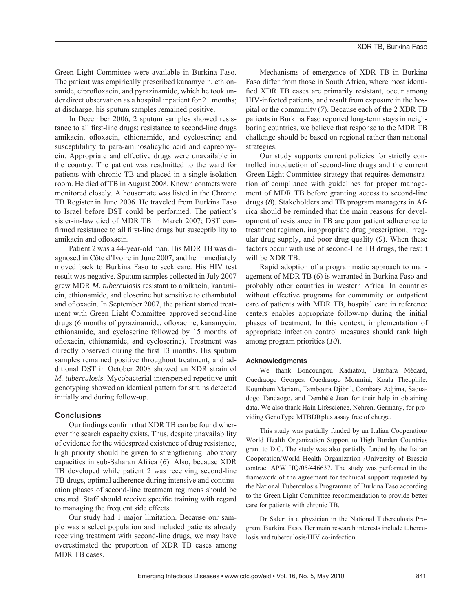Green Light Committee were available in Burkina Faso. The patient was empirically prescribed kanamycin, ethionamide, ciprofloxacin, and pyrazinamide, which he took under direct observation as a hospital inpatient for 21 months; at discharge, his sputum samples remained positive.

In December 2006, 2 sputum samples showed resistance to all first-line drugs; resistance to second-line drugs amikacin, ofloxacin, ethionamide, and cycloserine; and susceptibility to para-aminosalicylic acid and capreomycin. Appropriate and effective drugs were unavailable in the country. The patient was readmitted to the ward for patients with chronic TB and placed in a single isolation room. He died of TB in August 2008. Known contacts were monitored closely. A housemate was listed in the Chronic TB Register in June 2006. He traveled from Burkina Faso to Israel before DST could be performed. The patient's sister-in-law died of MDR TB in March 2007; DST confirmed resistance to all first-line drugs but susceptibility to amikacin and ofloxacin.

Patient 2 was a 44-year-old man. His MDR TB was diagnosed in Côte d'Ivoire in June 2007, and he immediately moved back to Burkina Faso to seek care. His HIV test result was negative. Sputum samples collected in July 2007 grew MDR *M. tuberculosis* resistant to amikacin, kanamicin, ethionamide, and closerine but sensitive to ethambutol and ofloxacin. In September 2007, the patient started treatment with Green Light Committee–approved second-line drugs (6 months of pyrazinamide, ofloxacine, kanamycin, ethionamide, and cycloserine followed by 15 months of ofl oxacin, ethionamide, and cycloserine). Treatment was directly observed during the first 13 months. His sputum samples remained positive throughout treatment, and additional DST in October 2008 showed an XDR strain of *M. tuberculosis*. Mycobacterial interspersed repetitive unit genotyping showed an identical pattern for strains detected initially and during follow-up.

#### **Conclusions**

Our findings confirm that XDR TB can be found wherever the search capacity exists. Thus, despite unavailability of evidence for the widespread existence of drug resistance, high priority should be given to strengthening laboratory capacities in sub-Saharan Africa (*6*). Also, because XDR TB developed while patient 2 was receiving second-line TB drugs, optimal adherence during intensive and continuation phases of second-line treatment regimens should be ensured. Staff should receive specific training with regard to managing the frequent side effects.

Our study had 1 major limitation. Because our sample was a select population and included patients already receiving treatment with second-line drugs, we may have overestimated the proportion of XDR TB cases among MDR TB cases.

Mechanisms of emergence of XDR TB in Burkina Faso differ from those in South Africa, where most identified XDR TB cases are primarily resistant, occur among HIV-infected patients, and result from exposure in the hospital or the community (*7*). Because each of the 2 XDR TB patients in Burkina Faso reported long-term stays in neighboring countries, we believe that response to the MDR TB challenge should be based on regional rather than national strategies.

Our study supports current policies for strictly controlled introduction of second-line drugs and the current Green Light Committee strategy that requires demonstration of compliance with guidelines for proper management of MDR TB before granting access to second-line drugs (*8*). Stakeholders and TB program managers in Africa should be reminded that the main reasons for development of resistance in TB are poor patient adherence to treatment regimen, inappropriate drug prescription, irregular drug supply, and poor drug quality (*9*). When these factors occur with use of second-line TB drugs, the result will be XDR TB.

Rapid adoption of a programmatic approach to management of MDR TB (*6*) is warranted in Burkina Faso and probably other countries in western Africa. In countries without effective programs for community or outpatient care of patients with MDR TB, hospital care in reference centers enables appropriate follow-up during the initial phases of treatment. In this context, implementation of appropriate infection control measures should rank high among program priorities (*10*).

#### **Acknowledgments**

We thank Boncoungou Kadiatou, Bambara Médard, Ouedraogo Georges, Ouedraogo Moumini, Koala Théophile, Koumbem Mariam, Tamboura Djibril, Combary Adjima, Saouadogo Tandaogo, and Dembélé Jean for their help in obtaining data. We also thank Hain Lifescience, Nehren, Germany, for providing GenoType MTBDRplus assay free of charge.

This study was partially funded by an Italian Cooperation/ World Health Organization Support to High Burden Countries grant to D.C. The study was also partially funded by the Italian Cooperation/World Health Organization /University of Brescia contract APW HQ/05/446637. The study was performed in the framework of the agreement for technical support requested by the National Tuberculosis Programme of Burkina Faso according to the Green Light Committee recommendation to provide better care for patients with chronic TB.

Dr Saleri is a physician in the National Tuberculosis Program, Burkina Faso. Her main research interests include tuberculosis and tuberculosis/HIV co-infection.